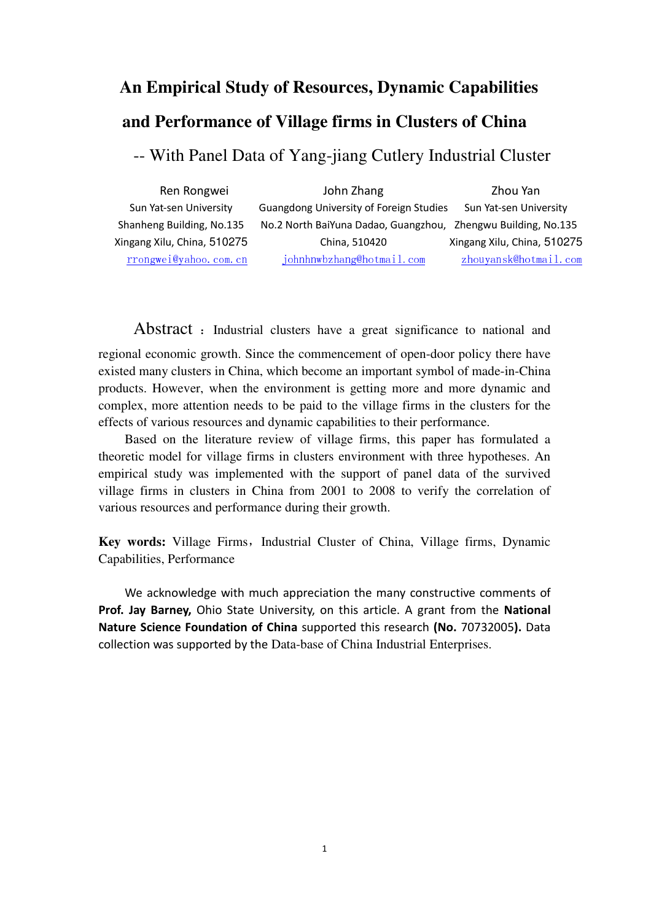# **An Empirical Study of Resources, Dynamic Capabilities and Performance of Village firms in Clusters of China**

-- With Panel Data of Yang-jiang Cutlery Industrial Cluster

| Ren Rongwei                 | John Zhang                                                    | Zhou Yan                    |
|-----------------------------|---------------------------------------------------------------|-----------------------------|
| Sun Yat-sen University      | Guangdong University of Foreign Studies                       | Sun Yat-sen University      |
| Shanheng Building, No.135   | No.2 North BaiYuna Dadao, Guangzhou, Zhengwu Building, No.135 |                             |
| Xingang Xilu, China, 510275 | China, 510420                                                 | Xingang Xilu, China, 510275 |
| rrongwei@yahoo.com.cn       | johnhnwbzhang@hotmail.com                                     | zhouyansk@hotmail.com       |

Abstract : Industrial clusters have a great significance to national and

regional economic growth. Since the commencement of open-door policy there have existed many clusters in China, which become an important symbol of made-in-China products. However, when the environment is getting more and more dynamic and complex, more attention needs to be paid to the village firms in the clusters for the effects of various resources and dynamic capabilities to their performance.

Based on the literature review of village firms, this paper has formulated a theoretic model for village firms in clusters environment with three hypotheses. An empirical study was implemented with the support of panel data of the survived village firms in clusters in China from 2001 to 2008 to verify the correlation of various resources and performance during their growth.

Key words: Village Firms, Industrial Cluster of China, Village firms, Dynamic Capabilities, Performance

We acknowledge with much appreciation the many constructive comments of Prof. Jay Barney, Ohio State University, on this article. A grant from the National Nature Science Foundation of China supported this research (No. 70732005). Data collection was supported by the Data-base of China Industrial Enterprises.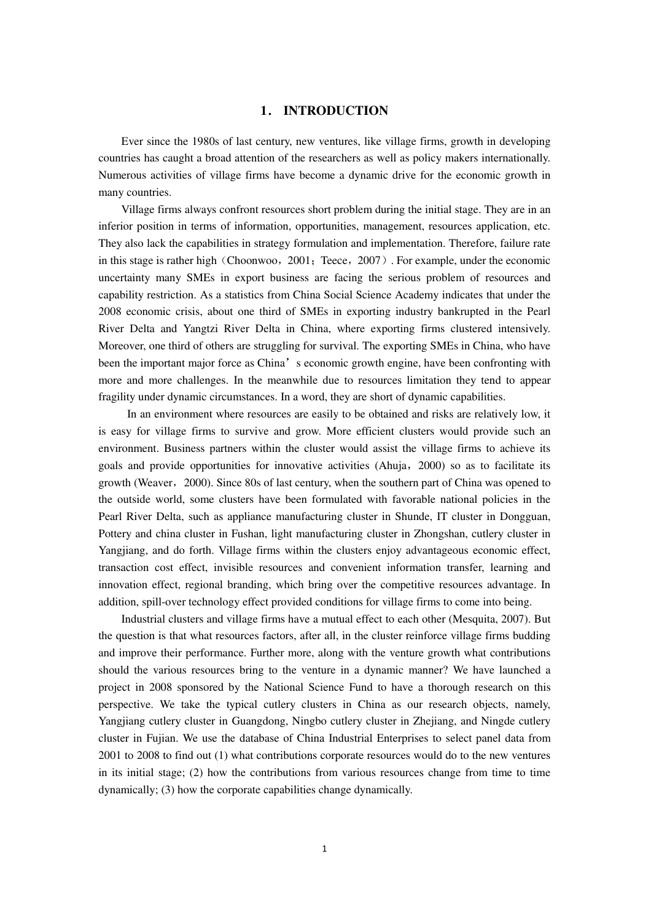#### **1**. **INTRODUCTION**

Ever since the 1980s of last century, new ventures, like village firms, growth in developing countries has caught a broad attention of the researchers as well as policy makers internationally. Numerous activities of village firms have become a dynamic drive for the economic growth in many countries.

Village firms always confront resources short problem during the initial stage. They are in an inferior position in terms of information, opportunities, management, resources application, etc. They also lack the capabilities in strategy formulation and implementation. Therefore, failure rate in this stage is rather high (Choonwoo, 2001; Teece,  $2007$ ). For example, under the economic uncertainty many SMEs in export business are facing the serious problem of resources and capability restriction. As a statistics from China Social Science Academy indicates that under the 2008 economic crisis, about one third of SMEs in exporting industry bankrupted in the Pearl River Delta and Yangtzi River Delta in China, where exporting firms clustered intensively. Moreover, one third of others are struggling for survival. The exporting SMEs in China, who have been the important major force as China's economic growth engine, have been confronting with more and more challenges. In the meanwhile due to resources limitation they tend to appear fragility under dynamic circumstances. In a word, they are short of dynamic capabilities.

 In an environment where resources are easily to be obtained and risks are relatively low, it is easy for village firms to survive and grow. More efficient clusters would provide such an environment. Business partners within the cluster would assist the village firms to achieve its goals and provide opportunities for innovative activities (Ahuja,2000) so as to facilitate its growth (Weaver, 2000). Since 80s of last century, when the southern part of China was opened to the outside world, some clusters have been formulated with favorable national policies in the Pearl River Delta, such as appliance manufacturing cluster in Shunde, IT cluster in Dongguan, Pottery and china cluster in Fushan, light manufacturing cluster in Zhongshan, cutlery cluster in Yangjiang, and do forth. Village firms within the clusters enjoy advantageous economic effect, transaction cost effect, invisible resources and convenient information transfer, learning and innovation effect, regional branding, which bring over the competitive resources advantage. In addition, spill-over technology effect provided conditions for village firms to come into being.

Industrial clusters and village firms have a mutual effect to each other (Mesquita, 2007). But the question is that what resources factors, after all, in the cluster reinforce village firms budding and improve their performance. Further more, along with the venture growth what contributions should the various resources bring to the venture in a dynamic manner? We have launched a project in 2008 sponsored by the National Science Fund to have a thorough research on this perspective. We take the typical cutlery clusters in China as our research objects, namely, Yangjiang cutlery cluster in Guangdong, Ningbo cutlery cluster in Zhejiang, and Ningde cutlery cluster in Fujian. We use the database of China Industrial Enterprises to select panel data from 2001 to 2008 to find out (1) what contributions corporate resources would do to the new ventures in its initial stage; (2) how the contributions from various resources change from time to time dynamically; (3) how the corporate capabilities change dynamically.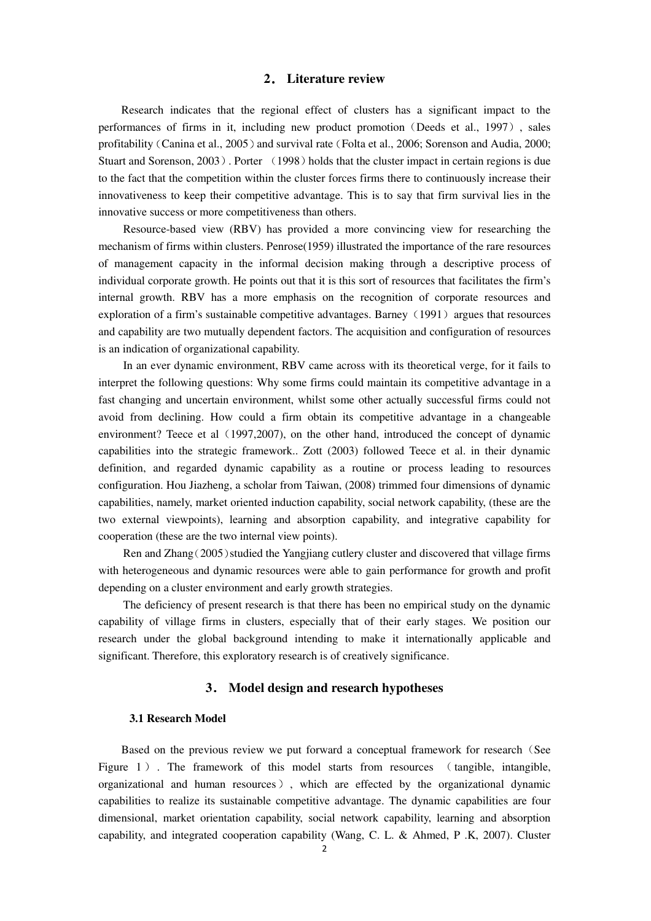## **2**. **Literature review**

Research indicates that the regional effect of clusters has a significant impact to the performances of firms in it, including new product promotion (Deeds et al., 1997), sales profitability (Canina et al., 2005) and survival rate (Folta et al., 2006; Sorenson and Audia, 2000; Stuart and Sorenson, 2003). Porter (1998) holds that the cluster impact in certain regions is due to the fact that the competition within the cluster forces firms there to continuously increase their innovativeness to keep their competitive advantage. This is to say that firm survival lies in the innovative success or more competitiveness than others.

Resource-based view (RBV) has provided a more convincing view for researching the mechanism of firms within clusters. Penrose(1959) illustrated the importance of the rare resources of management capacity in the informal decision making through a descriptive process of individual corporate growth. He points out that it is this sort of resources that facilitates the firm's internal growth. RBV has a more emphasis on the recognition of corporate resources and exploration of a firm's sustainable competitive advantages. Barney  $(1991)$  argues that resources and capability are two mutually dependent factors. The acquisition and configuration of resources is an indication of organizational capability.

In an ever dynamic environment, RBV came across with its theoretical verge, for it fails to interpret the following questions: Why some firms could maintain its competitive advantage in a fast changing and uncertain environment, whilst some other actually successful firms could not avoid from declining. How could a firm obtain its competitive advantage in a changeable environment? Teece et al (1997,2007), on the other hand, introduced the concept of dynamic capabilities into the strategic framework.. Zott (2003) followed Teece et al. in their dynamic definition, and regarded dynamic capability as a routine or process leading to resources configuration. Hou Jiazheng, a scholar from Taiwan, (2008) trimmed four dimensions of dynamic capabilities, namely, market oriented induction capability, social network capability, (these are the two external viewpoints), learning and absorption capability, and integrative capability for cooperation (these are the two internal view points).

Ren and Zhang(2005)studied the Yangjiang cutlery cluster and discovered that village firms with heterogeneous and dynamic resources were able to gain performance for growth and profit depending on a cluster environment and early growth strategies.

The deficiency of present research is that there has been no empirical study on the dynamic capability of village firms in clusters, especially that of their early stages. We position our research under the global background intending to make it internationally applicable and significant. Therefore, this exploratory research is of creatively significance.

## **3**. **Model design and research hypotheses**

#### **3.1 Research Model**

Based on the previous review we put forward a conceptual framework for research (See Figure 1). The framework of this model starts from resources (tangible, intangible, organizational and human resources), which are effected by the organizational dynamic capabilities to realize its sustainable competitive advantage. The dynamic capabilities are four dimensional, market orientation capability, social network capability, learning and absorption capability, and integrated cooperation capability (Wang, C. L. & Ahmed, P .K, 2007). Cluster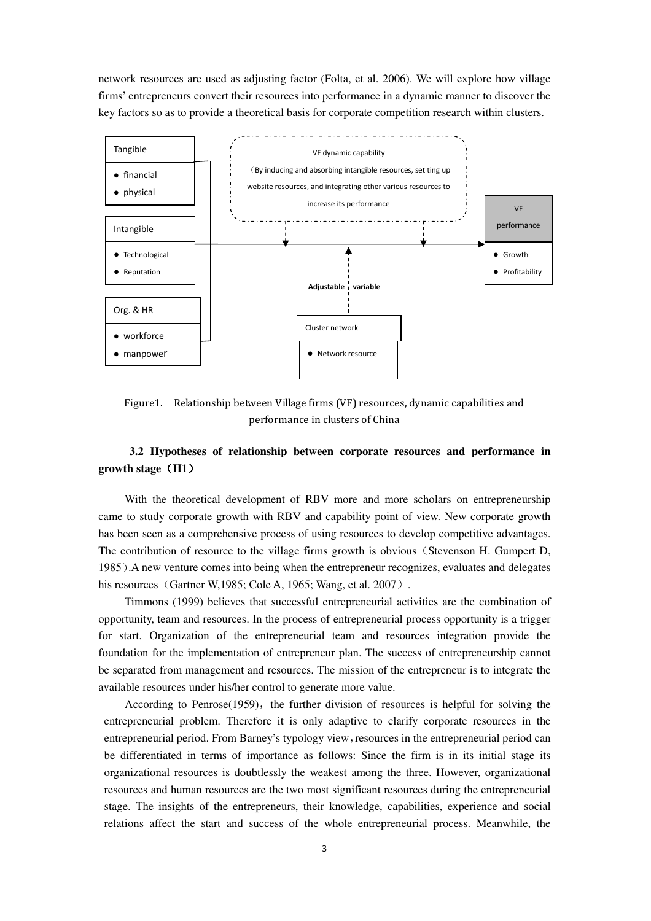network resources are used as adjusting factor (Folta, et al. 2006). We will explore how village firms' entrepreneurs convert their resources into performance in a dynamic manner to discover the key factors so as to provide a theoretical basis for corporate competition research within clusters.



Figure1. Relationship between Village firms (VF) resources, dynamic capabilities and performance in clusters of China

# **3.2 Hypotheses of relationship between corporate resources and performance in growth stage**(**H1**)

With the theoretical development of RBV more and more scholars on entrepreneurship came to study corporate growth with RBV and capability point of view. New corporate growth has been seen as a comprehensive process of using resources to develop competitive advantages. The contribution of resource to the village firms growth is obvious (Stevenson H. Gumpert D, 1985).A new venture comes into being when the entrepreneur recognizes, evaluates and delegates his resources (Gartner W, 1985; Cole A, 1965; Wang, et al.  $2007$ ).

Timmons (1999) believes that successful entrepreneurial activities are the combination of opportunity, team and resources. In the process of entrepreneurial process opportunity is a trigger for start. Organization of the entrepreneurial team and resources integration provide the foundation for the implementation of entrepreneur plan. The success of entrepreneurship cannot be separated from management and resources. The mission of the entrepreneur is to integrate the available resources under his/her control to generate more value.

According to Penrose $(1959)$ , the further division of resources is helpful for solving the entrepreneurial problem. Therefore it is only adaptive to clarify corporate resources in the entrepreneurial period. From Barney's typology view,resources in the entrepreneurial period can be differentiated in terms of importance as follows: Since the firm is in its initial stage its organizational resources is doubtlessly the weakest among the three. However, organizational resources and human resources are the two most significant resources during the entrepreneurial stage. The insights of the entrepreneurs, their knowledge, capabilities, experience and social relations affect the start and success of the whole entrepreneurial process. Meanwhile, the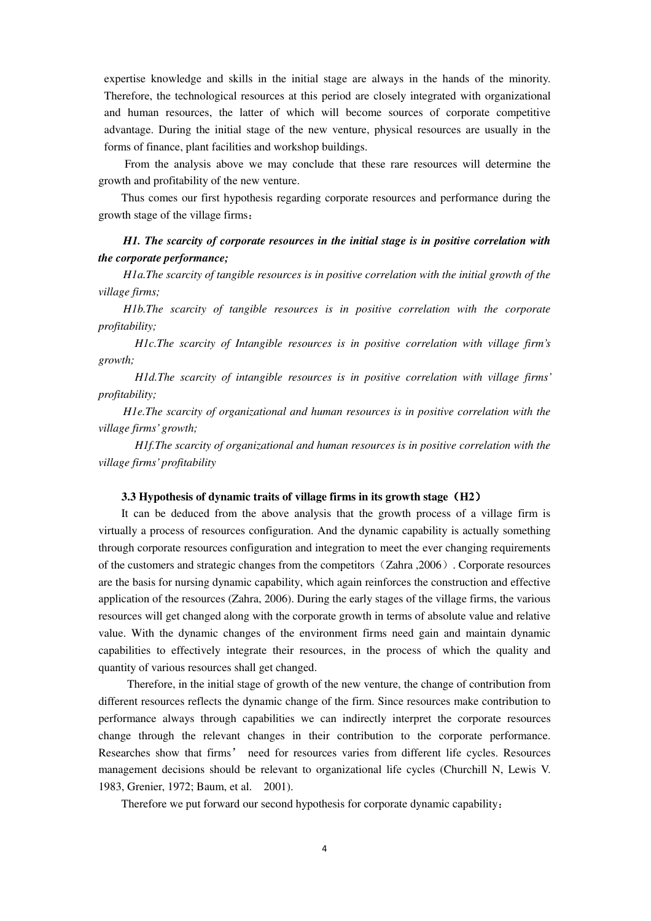expertise knowledge and skills in the initial stage are always in the hands of the minority. Therefore, the technological resources at this period are closely integrated with organizational and human resources, the latter of which will become sources of corporate competitive advantage. During the initial stage of the new venture, physical resources are usually in the forms of finance, plant facilities and workshop buildings.

From the analysis above we may conclude that these rare resources will determine the growth and profitability of the new venture.

Thus comes our first hypothesis regarding corporate resources and performance during the growth stage of the village firms:

# *H1. The scarcity of corporate resources in the initial stage is in positive correlation with the corporate performance;*

*H1a.The scarcity of tangible resources is in positive correlation with the initial growth of the village firms;* 

*H1b.The scarcity of tangible resources is in positive correlation with the corporate profitability;* 

 *H1c.The scarcity of Intangible resources is in positive correlation with village firm's growth;* 

 *H1d.The scarcity of intangible resources is in positive correlation with village firms' profitability;* 

*H1e.The scarcity of organizational and human resources is in positive correlation with the village firms' growth;* 

 *H1f.The scarcity of organizational and human resources is in positive correlation with the village firms' profitability* 

#### **3.3 Hypothesis of dynamic traits of village firms in its growth stage**(**H2**)

It can be deduced from the above analysis that the growth process of a village firm is virtually a process of resources configuration. And the dynamic capability is actually something through corporate resources configuration and integration to meet the ever changing requirements of the customers and strategic changes from the competitors(Zahra ,2006). Corporate resources are the basis for nursing dynamic capability, which again reinforces the construction and effective application of the resources (Zahra, 2006). During the early stages of the village firms, the various resources will get changed along with the corporate growth in terms of absolute value and relative value. With the dynamic changes of the environment firms need gain and maintain dynamic capabilities to effectively integrate their resources, in the process of which the quality and quantity of various resources shall get changed.

 Therefore, in the initial stage of growth of the new venture, the change of contribution from different resources reflects the dynamic change of the firm. Since resources make contribution to performance always through capabilities we can indirectly interpret the corporate resources change through the relevant changes in their contribution to the corporate performance. Researches show that firms' need for resources varies from different life cycles. Resources management decisions should be relevant to organizational life cycles (Churchill N, Lewis V. 1983, Grenier, 1972; Baum, et al. 2001).

Therefore we put forward our second hypothesis for corporate dynamic capability: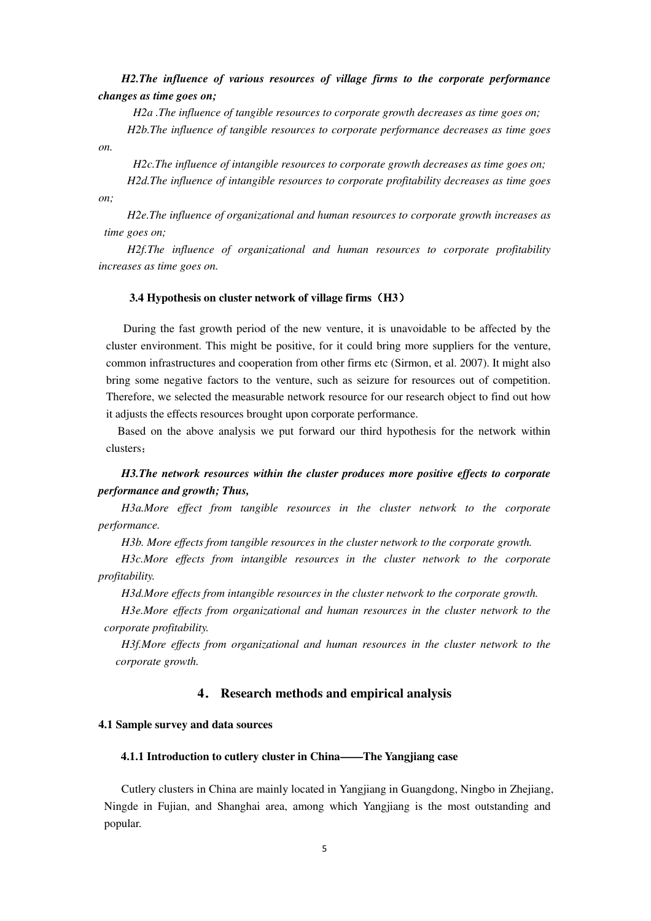*H2.The influence of various resources of village firms to the corporate performance changes as time goes on;* 

*H2a .The influence of tangible resources to corporate growth decreases as time goes on;* 

*H2b.The influence of tangible resources to corporate performance decreases as time goes on.* 

 *H2c.The influence of intangible resources to corporate growth decreases as time goes on; H2d.The influence of intangible resources to corporate profitability decreases as time goes* 

*on;* 

*H2e.The influence of organizational and human resources to corporate growth increases as time goes on;* 

*H2f.The influence of organizational and human resources to corporate profitability increases as time goes on.* 

#### **3.4 Hypothesis on cluster network of village firms**(**H3**)

During the fast growth period of the new venture, it is unavoidable to be affected by the cluster environment. This might be positive, for it could bring more suppliers for the venture, common infrastructures and cooperation from other firms etc (Sirmon, et al. 2007). It might also bring some negative factors to the venture, such as seizure for resources out of competition. Therefore, we selected the measurable network resource for our research object to find out how it adjusts the effects resources brought upon corporate performance.

Based on the above analysis we put forward our third hypothesis for the network within clusters:

# *H3.The network resources within the cluster produces more positive effects to corporate performance and growth; Thus,*

*H3a.More effect from tangible resources in the cluster network to the corporate performance.* 

*H3b. More effects from tangible resources in the cluster network to the corporate growth.* 

*H3c.More effects from intangible resources in the cluster network to the corporate profitability.* 

*H3d.More effects from intangible resources in the cluster network to the corporate growth.* 

*H3e.More effects from organizational and human resources in the cluster network to the corporate profitability.* 

*H3f.More effects from organizational and human resources in the cluster network to the corporate growth.* 

## **4**. **Research methods and empirical analysis**

#### **4.1 Sample survey and data sources**

## **4.1.1 Introduction to cutlery cluster in China——The Yangjiang case**

Cutlery clusters in China are mainly located in Yangjiang in Guangdong, Ningbo in Zhejiang, Ningde in Fujian, and Shanghai area, among which Yangjiang is the most outstanding and popular.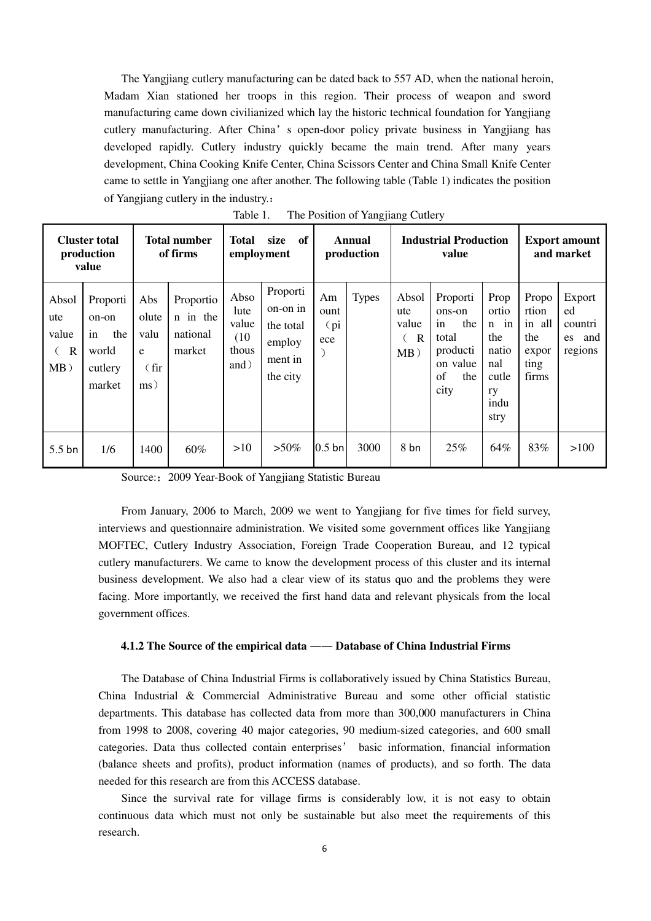The Yangjiang cutlery manufacturing can be dated back to 557 AD, when the national heroin, Madam Xian stationed her troops in this region. Their process of weapon and sword manufacturing came down civilianized which lay the historic technical foundation for Yangjiang cutlery manufacturing. After China's open-door policy private business in Yangjiang has developed rapidly. Cutlery industry quickly became the main trend. After many years development, China Cooking Knife Center, China Scissors Center and China Small Knife Center came to settle in Yangjiang one after another. The following table (Table 1) indicates the position of Yangjiang cutlery in the industry.:

|                                                | <b>Cluster total</b><br>production<br>value                  |                                                           | <b>Total number</b><br>of firms             | <b>Total</b><br>employment                     | of<br>size                                                         |                           | Annual<br>production |                                                 | <b>Industrial Production</b><br>value                                                 |                                                                               |                                                           | <b>Export amount</b><br>and market           |
|------------------------------------------------|--------------------------------------------------------------|-----------------------------------------------------------|---------------------------------------------|------------------------------------------------|--------------------------------------------------------------------|---------------------------|----------------------|-------------------------------------------------|---------------------------------------------------------------------------------------|-------------------------------------------------------------------------------|-----------------------------------------------------------|----------------------------------------------|
| Absol<br>ute<br>value<br>$\mathbf R$<br>$MB$ ) | Proporti<br>on-on<br>in<br>the<br>world<br>cutlery<br>market | Abs<br>olute<br>valu<br>e<br>$(\text{fir})$<br>$\rm ms$ ) | Proportio<br>n in the<br>national<br>market | Abso<br>lute<br>value<br>(10)<br>thous<br>and) | Proporti<br>on-on in<br>the total<br>employ<br>ment in<br>the city | Am<br>ount<br>(pi)<br>ece | <b>Types</b>         | Absol<br>ute<br>value<br>$\mathbb{R}$<br>$MB$ ) | Proporti<br>ons-on<br>the<br>in<br>total<br>producti<br>on value<br>of<br>the<br>city | Prop<br>ortio<br>$n$ in<br>the<br>natio<br>nal<br>cutle<br>ry<br>indu<br>stry | Propo<br>rtion<br>in all<br>the<br>expor<br>ting<br>firms | Export<br>ed<br>countri<br>es and<br>regions |
| $5.5$ bn                                       | 1/6                                                          | 1400                                                      | 60%                                         | >10                                            | $>50\%$                                                            | $0.5$ bn                  | 3000                 | 8 bn                                            | 25%                                                                                   | 64%                                                                           | 83%                                                       | >100                                         |

Table 1. The Position of Yangjiang Cutlery

Source:: 2009 Year-Book of Yangjiang Statistic Bureau

From January, 2006 to March, 2009 we went to Yangjiang for five times for field survey, interviews and questionnaire administration. We visited some government offices like Yangjiang MOFTEC, Cutlery Industry Association, Foreign Trade Cooperation Bureau, and 12 typical cutlery manufacturers. We came to know the development process of this cluster and its internal business development. We also had a clear view of its status quo and the problems they were facing. More importantly, we received the first hand data and relevant physicals from the local government offices.

## **4.1.2 The Source of the empirical data** ―― **Database of China Industrial Firms**

The Database of China Industrial Firms is collaboratively issued by China Statistics Bureau, China Industrial & Commercial Administrative Bureau and some other official statistic departments. This database has collected data from more than 300,000 manufacturers in China from 1998 to 2008, covering 40 major categories, 90 medium-sized categories, and 600 small categories. Data thus collected contain enterprises' basic information, financial information (balance sheets and profits), product information (names of products), and so forth. The data needed for this research are from this ACCESS database.

Since the survival rate for village firms is considerably low, it is not easy to obtain continuous data which must not only be sustainable but also meet the requirements of this research.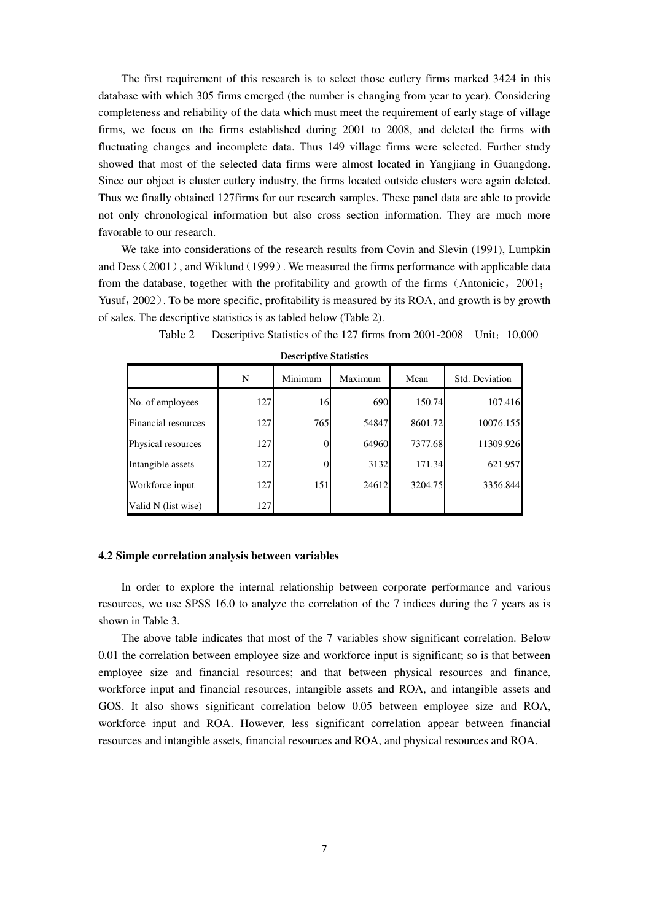The first requirement of this research is to select those cutlery firms marked 3424 in this database with which 305 firms emerged (the number is changing from year to year). Considering completeness and reliability of the data which must meet the requirement of early stage of village firms, we focus on the firms established during 2001 to 2008, and deleted the firms with fluctuating changes and incomplete data. Thus 149 village firms were selected. Further study showed that most of the selected data firms were almost located in Yangjiang in Guangdong. Since our object is cluster cutlery industry, the firms located outside clusters were again deleted. Thus we finally obtained 127firms for our research samples. These panel data are able to provide not only chronological information but also cross section information. They are much more favorable to our research.

We take into considerations of the research results from Covin and Slevin (1991), Lumpkin and Dess  $(2001)$ , and Wiklund  $(1999)$ . We measured the firms performance with applicable data from the database, together with the profitability and growth of the firms (Antonicic,  $2001$ ; Yusuf, 2002). To be more specific, profitability is measured by its ROA, and growth is by growth of sales. The descriptive statistics is as tabled below (Table 2).

|                            | N   | Minimum | Maximum | Mean    | Std. Deviation |
|----------------------------|-----|---------|---------|---------|----------------|
| No. of employees           | 127 | 16      | 690     | 150.74  | 107.416        |
| <b>Financial resources</b> | 127 | 765     | 54847   | 8601.72 | 10076.155      |
| Physical resources         | 127 |         | 64960   | 7377.68 | 11309.926      |
| Intangible assets          | 127 |         | 3132    | 171.34  | 621.957        |
| Workforce input            | 127 | 151     | 24612   | 3204.75 | 3356.844       |
| Valid N (list wise)        | 127 |         |         |         |                |

Table 2 Descriptive Statistics of the 127 firms from 2001-2008 Unit: 10,000

**Descriptive Statistics**

#### **4.2 Simple correlation analysis between variables**

In order to explore the internal relationship between corporate performance and various resources, we use SPSS 16.0 to analyze the correlation of the 7 indices during the 7 years as is shown in Table 3.

The above table indicates that most of the 7 variables show significant correlation. Below 0.01 the correlation between employee size and workforce input is significant; so is that between employee size and financial resources; and that between physical resources and finance, workforce input and financial resources, intangible assets and ROA, and intangible assets and GOS. It also shows significant correlation below 0.05 between employee size and ROA, workforce input and ROA. However, less significant correlation appear between financial resources and intangible assets, financial resources and ROA, and physical resources and ROA.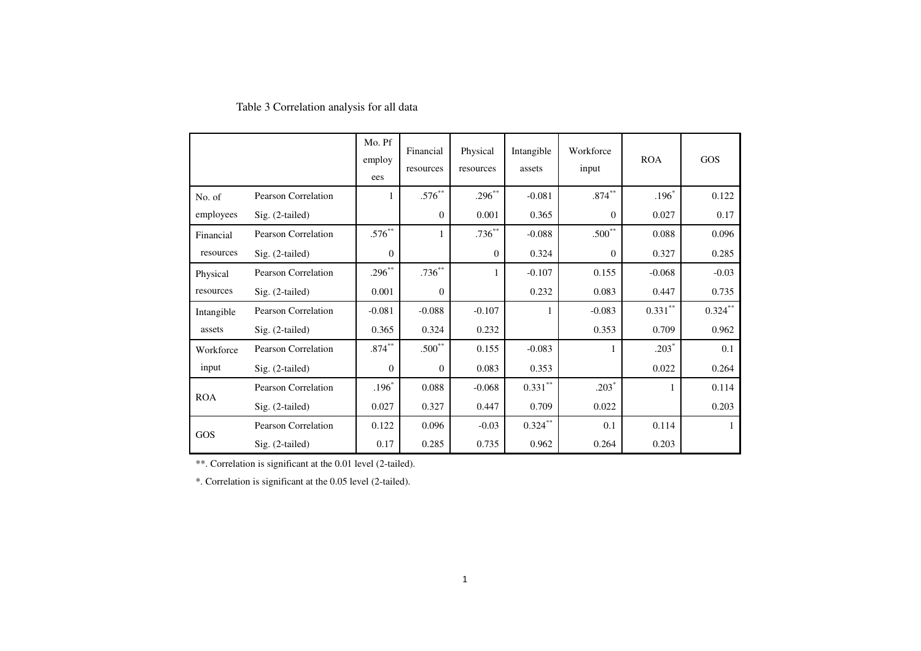|            |                            | Mo. Pf<br>employ<br>ees | Financial<br>resources | Physical<br>resources | Intangible<br>assets | Workforce<br>input | <b>ROA</b> | GOS        |
|------------|----------------------------|-------------------------|------------------------|-----------------------|----------------------|--------------------|------------|------------|
| No. of     | <b>Pearson Correlation</b> |                         | $.576^{**}$            | $.296***$             | $-0.081$             | $.874***$          | $.196*$    | 0.122      |
| employees  | $Sig. (2-tailed)$          |                         | $\mathbf{0}$           | 0.001                 | 0.365                | $\Omega$           | 0.027      | 0.17       |
| Financial  | Pearson Correlation        | $.576***$               |                        | $.736^{**}$           | $-0.088$             | $.500**$           | 0.088      | 0.096      |
| resources  | Sig. (2-tailed)            | $\mathbf{0}$            |                        | $\mathbf{0}$          | 0.324                | $\mathbf{0}$       | 0.327      | 0.285      |
| Physical   | Pearson Correlation        | $.296***$               | $.736***$              |                       | $-0.107$             | 0.155              | $-0.068$   | $-0.03$    |
| resources  | $Sig. (2-tailed)$          | 0.001                   | $\theta$               |                       | 0.232                | 0.083              | 0.447      | 0.735      |
| Intangible | Pearson Correlation        | $-0.081$                | $-0.088$               | $-0.107$              |                      | $-0.083$           | $0.331$ ** | $0.324$ ** |
| assets     | $Sig. (2-tailed)$          | 0.365                   | 0.324                  | 0.232                 |                      | 0.353              | 0.709      | 0.962      |
| Workforce  | Pearson Correlation        | $.874***$               | $.500**$               | 0.155                 | $-0.083$             |                    | $.203*$    | 0.1        |
| input      | $Sig. (2-tailed)$          | $\mathbf{0}$            | $\boldsymbol{0}$       | 0.083                 | 0.353                |                    | 0.022      | 0.264      |
|            | Pearson Correlation        | $.196*$                 | 0.088                  | $-0.068$              | $0.331***$           | $.203*$            |            | 0.114      |
| <b>ROA</b> | $Sig. (2-tailed)$          | 0.027                   | 0.327                  | 0.447                 | 0.709                | 0.022              |            | 0.203      |
|            | <b>Pearson Correlation</b> | 0.122                   | 0.096                  | $-0.03$               | $0.324$ **           | 0.1                | 0.114      |            |
| GOS        | Sig. (2-tailed)            | 0.17                    | 0.285                  | 0.735                 | 0.962                | 0.264              | 0.203      |            |

# Table 3 Correlation analysis for all data

\*\*. Correlation is significant at the 0.01 level (2-tailed).

\*. Correlation is significant at the 0.05 level (2-tailed).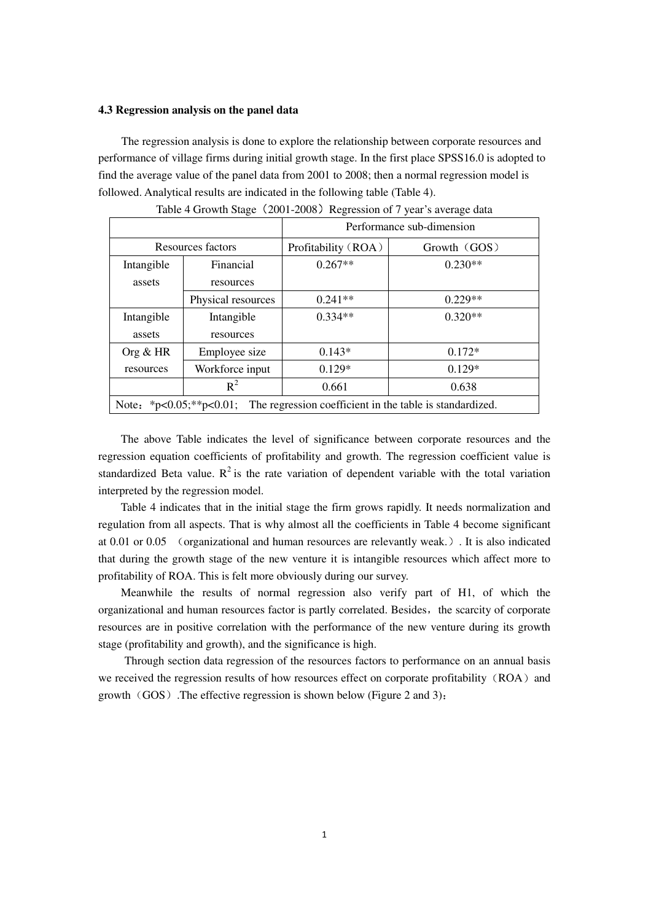#### **4.3 Regression analysis on the panel data**

The regression analysis is done to explore the relationship between corporate resources and performance of village firms during initial growth stage. In the first place SPSS16.0 is adopted to find the average value of the panel data from 2001 to 2008; then a normal regression model is followed. Analytical results are indicated in the following table (Table 4).

|                                                                                  |                    | Performance sub-dimension |              |  |  |  |
|----------------------------------------------------------------------------------|--------------------|---------------------------|--------------|--|--|--|
|                                                                                  | Resources factors  | Profitability (ROA)       | Growth (GOS) |  |  |  |
| Intangible                                                                       | Financial          | $0.267**$                 | $0.230**$    |  |  |  |
| assets                                                                           | resources          |                           |              |  |  |  |
|                                                                                  | Physical resources | $0.241**$                 | $0.229**$    |  |  |  |
| Intangible                                                                       | Intangible         | $0.334**$                 | $0.320**$    |  |  |  |
| assets                                                                           | resources          |                           |              |  |  |  |
| Org $& HR$                                                                       | Employee size      | $0.143*$                  | $0.172*$     |  |  |  |
| resources                                                                        | Workforce input    | $0.129*$                  | $0.129*$     |  |  |  |
|                                                                                  | $R^2$              | 0.661                     | 0.638        |  |  |  |
| Note: *p<0.05;**p<0.01; The regression coefficient in the table is standardized. |                    |                           |              |  |  |  |

| Table 4 Growth Stage (2001-2008) Regression of 7 year's average data |  |  |  |  |
|----------------------------------------------------------------------|--|--|--|--|
|----------------------------------------------------------------------|--|--|--|--|

The above Table indicates the level of significance between corporate resources and the regression equation coefficients of profitability and growth. The regression coefficient value is standardized Beta value.  $R^2$  is the rate variation of dependent variable with the total variation interpreted by the regression model.

Table 4 indicates that in the initial stage the firm grows rapidly. It needs normalization and regulation from all aspects. That is why almost all the coefficients in Table 4 become significant at 0.01 or 0.05 (organizational and human resources are relevantly weak.). It is also indicated that during the growth stage of the new venture it is intangible resources which affect more to profitability of ROA. This is felt more obviously during our survey.

Meanwhile the results of normal regression also verify part of H1, of which the organizational and human resources factor is partly correlated. Besides, the scarcity of corporate resources are in positive correlation with the performance of the new venture during its growth stage (profitability and growth), and the significance is high.

Through section data regression of the resources factors to performance on an annual basis we received the regression results of how resources effect on corporate profitability  $(ROA)$  and growth  $(GOS)$ . The effective regression is shown below (Figure 2 and 3):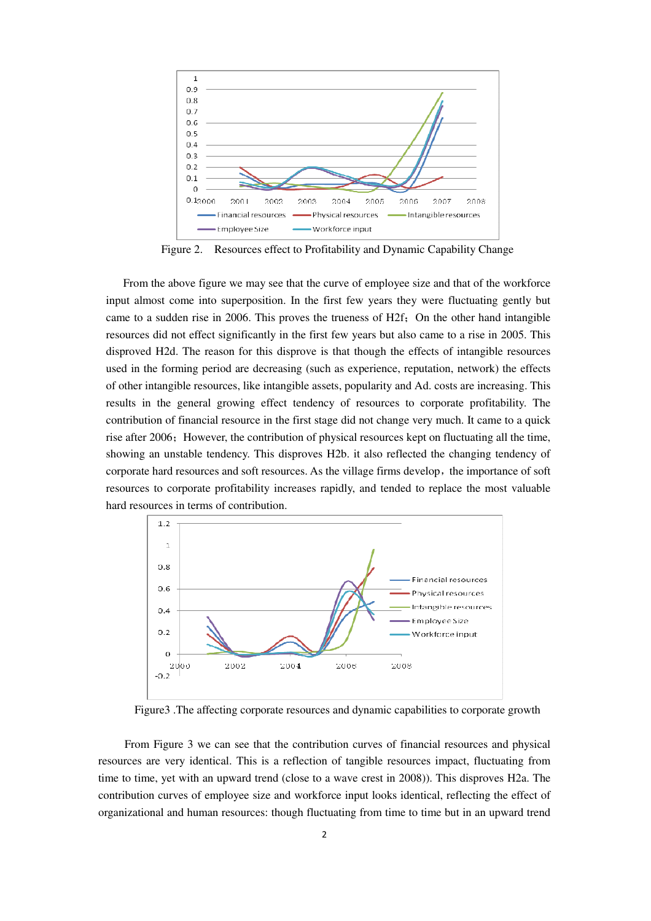

Figure 2. Resources effect to Profitability and Dynamic Capability Change

From the above figure we may see that the curve of employee size and that of the workforce input almost come into superposition. In the first few years they were fluctuating gently but came to a sudden rise in 2006. This proves the trueness of  $H2f$ : On the other hand intangible resources did not effect significantly in the first few years but also came to a rise in 2005. This disproved H2d. The reason for this disprove is that though the effects of intangible resources used in the forming period are decreasing (such as experience, reputation, network) the effects of other intangible resources, like intangible assets, popularity and Ad. costs are increasing. This results in the general growing effect tendency of resources to corporate profitability. The contribution of financial resource in the first stage did not change very much. It came to a quick rise after 2006; However, the contribution of physical resources kept on fluctuating all the time, showing an unstable tendency. This disproves H2b. it also reflected the changing tendency of corporate hard resources and soft resources. As the village firms develop, the importance of soft resources to corporate profitability increases rapidly, and tended to replace the most valuable hard resources in terms of contribution.



Figure3 .The affecting corporate resources and dynamic capabilities to corporate growth

From Figure 3 we can see that the contribution curves of financial resources and physical resources are very identical. This is a reflection of tangible resources impact, fluctuating from time to time, yet with an upward trend (close to a wave crest in 2008)). This disproves H2a. The contribution curves of employee size and workforce input looks identical, reflecting the effect of organizational and human resources: though fluctuating from time to time but in an upward trend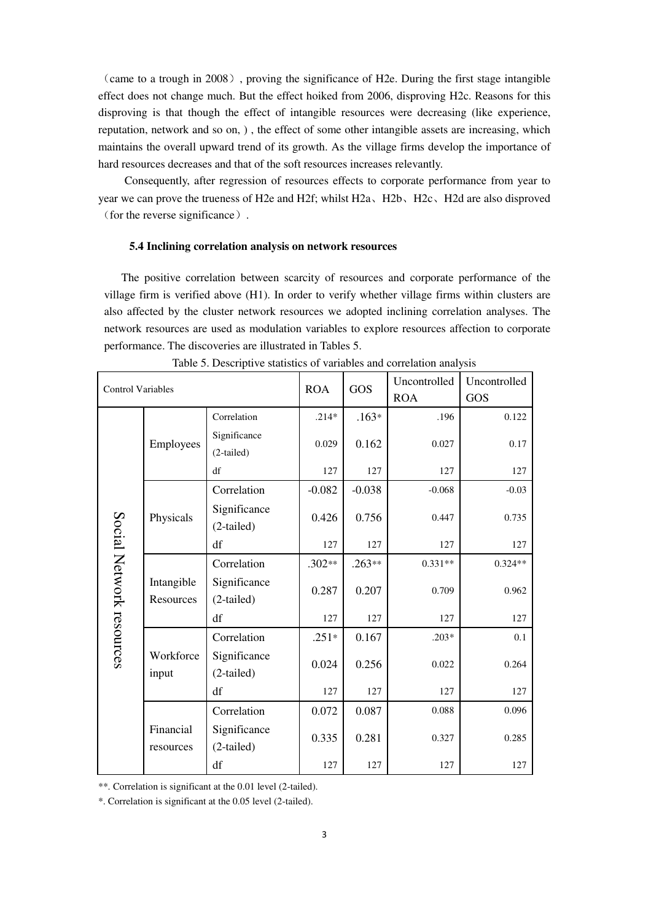(came to a trough in 2008), proving the significance of H2e. During the first stage intangible effect does not change much. But the effect hoiked from 2006, disproving H2c. Reasons for this disproving is that though the effect of intangible resources were decreasing (like experience, reputation, network and so on, ) , the effect of some other intangible assets are increasing, which maintains the overall upward trend of its growth. As the village firms develop the importance of hard resources decreases and that of the soft resources increases relevantly.

Consequently, after regression of resources effects to corporate performance from year to year we can prove the trueness of H2e and H2f; whilst H2a、H2b、H2c、H2d are also disproved (for the reverse significance).

#### **5.4 Inclining correlation analysis on network resources**

The positive correlation between scarcity of resources and corporate performance of the village firm is verified above (H1). In order to verify whether village firms within clusters are also affected by the cluster network resources we adopted inclining correlation analyses. The network resources are used as modulation variables to explore resources affection to corporate performance. The discoveries are illustrated in Tables 5.

| <b>Control Variables</b> |                         | <b>ROA</b>                   | GOS      | Uncontrolled | Uncontrolled |           |
|--------------------------|-------------------------|------------------------------|----------|--------------|--------------|-----------|
|                          |                         |                              |          |              | <b>ROA</b>   | GOS       |
|                          |                         | Correlation                  | $.214*$  | $.163*$      | .196         | 0.122     |
|                          | Employees               | Significance<br>(2-tailed)   | 0.029    | 0.162        | 0.027        | 0.17      |
|                          |                         | df                           | 127      | 127          | 127          | 127       |
|                          |                         | Correlation                  | $-0.082$ | $-0.038$     | $-0.068$     | $-0.03$   |
|                          | Physicals               | Significance<br>$(2-tailed)$ | 0.426    | 0.756        | 0.447        | 0.735     |
|                          |                         | df                           | 127      | 127          | 127          | 127       |
| Social Network resources | Intangible<br>Resources | Correlation                  | $.302**$ | $.263**$     | $0.331**$    | $0.324**$ |
|                          |                         | Significance<br>$(2-tailed)$ | 0.287    | 0.207        | 0.709        | 0.962     |
|                          |                         | df                           | 127      | 127          | 127          | 127       |
|                          |                         | Correlation                  | $.251*$  | 0.167        | $.203*$      | 0.1       |
|                          | Workforce<br>input      | Significance<br>$(2-tailed)$ | 0.024    | 0.256        | 0.022        | 0.264     |
|                          |                         | df                           | 127      | 127          | 127          | 127       |
|                          |                         | Correlation                  | 0.072    | 0.087        | 0.088        | 0.096     |
|                          | Financial<br>resources  | Significance<br>$(2-tailed)$ | 0.335    | 0.281        | 0.327        | 0.285     |
|                          |                         | df                           | 127      | 127          | 127          | 127       |

| Table 5. Descriptive statistics of variables and correlation analysis |  |  |  |
|-----------------------------------------------------------------------|--|--|--|
|                                                                       |  |  |  |

\*\*. Correlation is significant at the 0.01 level (2-tailed).

\*. Correlation is significant at the 0.05 level (2-tailed).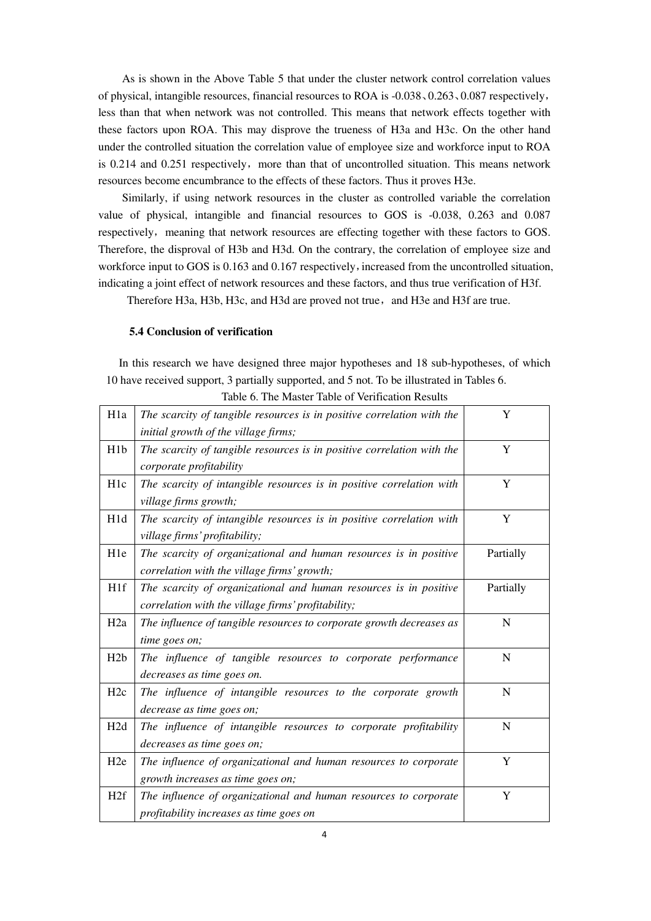As is shown in the Above Table 5 that under the cluster network control correlation values of physical, intangible resources, financial resources to ROA is -0.038、0.263、0.087 respectively, less than that when network was not controlled. This means that network effects together with these factors upon ROA. This may disprove the trueness of H3a and H3c. On the other hand under the controlled situation the correlation value of employee size and workforce input to ROA is  $0.214$  and  $0.251$  respectively, more than that of uncontrolled situation. This means network resources become encumbrance to the effects of these factors. Thus it proves H3e.

Similarly, if using network resources in the cluster as controlled variable the correlation value of physical, intangible and financial resources to GOS is -0.038, 0.263 and 0.087 respectively, meaning that network resources are effecting together with these factors to GOS. Therefore, the disproval of H3b and H3d. On the contrary, the correlation of employee size and workforce input to GOS is 0.163 and 0.167 respectively, increased from the uncontrolled situation, indicating a joint effect of network resources and these factors, and thus true verification of H3f.

Therefore H3a, H3b, H3c, and H3d are proved not true, and H3e and H3f are true.

#### **5.4 Conclusion of verification**

In this research we have designed three major hypotheses and 18 sub-hypotheses, of which 10 have received support, 3 partially supported, and 5 not. To be illustrated in Tables 6.

| H <sub>1</sub> a | The scarcity of tangible resources is in positive correlation with the | Y         |
|------------------|------------------------------------------------------------------------|-----------|
|                  | initial growth of the village firms;                                   |           |
| H1b              | The scarcity of tangible resources is in positive correlation with the | Y         |
|                  | corporate profitability                                                |           |
| H <sub>1c</sub>  | The scarcity of intangible resources is in positive correlation with   | Y         |
|                  | village firms growth;                                                  |           |
| H <sub>1</sub> d | The scarcity of intangible resources is in positive correlation with   | Y         |
|                  | village firms' profitability;                                          |           |
| H1e              | The scarcity of organizational and human resources is in positive      | Partially |
|                  | correlation with the village firms' growth;                            |           |
| H <sub>1f</sub>  | The scarcity of organizational and human resources is in positive      | Partially |
|                  | correlation with the village firms' profitability;                     |           |
| H <sub>2</sub> a | The influence of tangible resources to corporate growth decreases as   | N         |
|                  | time goes on;                                                          |           |
| H2b              | The influence of tangible resources to corporate performance           | N         |
|                  | decreases as time goes on.                                             |           |
| H <sub>2c</sub>  | The influence of intangible resources to the corporate growth          | N         |
|                  | decrease as time goes on;                                              |           |
| H2d              | The influence of intangible resources to corporate profitability       | N         |
|                  | decreases as time goes on;                                             |           |
| H <sub>2</sub> e | The influence of organizational and human resources to corporate       | Y         |
|                  | growth increases as time goes on;                                      |           |
| H2f              | The influence of organizational and human resources to corporate       | Y         |
|                  | profitability increases as time goes on                                |           |
|                  |                                                                        |           |

Table 6. The Master Table of Verification Results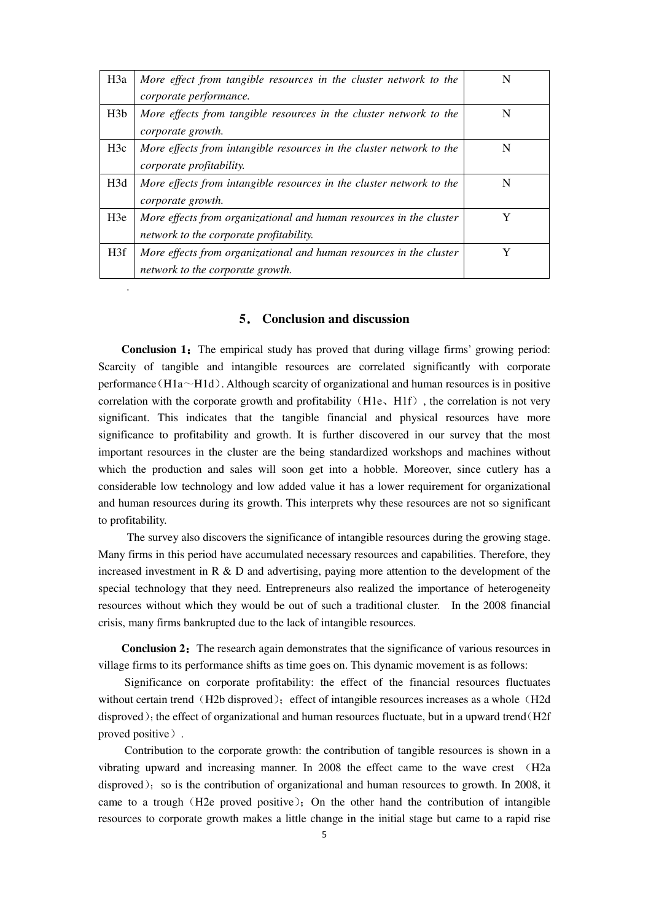| H <sub>3</sub> a | More effect from tangible resources in the cluster network to the    |   |
|------------------|----------------------------------------------------------------------|---|
|                  | corporate performance.                                               |   |
| H3b              | More effects from tangible resources in the cluster network to the   | N |
|                  | corporate growth.                                                    |   |
| H3c              | More effects from intangible resources in the cluster network to the | N |
|                  | corporate profitability.                                             |   |
| H <sub>3</sub> d | More effects from intangible resources in the cluster network to the | N |
|                  | corporate growth.                                                    |   |
| H3e              | More effects from organizational and human resources in the cluster  | Y |
|                  | network to the corporate profitability.                              |   |
| H3f              | More effects from organizational and human resources in the cluster  |   |
|                  | network to the corporate growth.                                     |   |

## **5**. **Conclusion and discussion**

*.* 

**Conclusion 1:** The empirical study has proved that during village firms' growing period: Scarcity of tangible and intangible resources are correlated significantly with corporate performance (H1a $\sim$ H1d). Although scarcity of organizational and human resources is in positive correlation with the corporate growth and profitability  $(H1e, H1f)$ , the correlation is not very significant. This indicates that the tangible financial and physical resources have more significance to profitability and growth. It is further discovered in our survey that the most important resources in the cluster are the being standardized workshops and machines without which the production and sales will soon get into a hobble. Moreover, since cutlery has a considerable low technology and low added value it has a lower requirement for organizational and human resources during its growth. This interprets why these resources are not so significant to profitability.

 The survey also discovers the significance of intangible resources during the growing stage. Many firms in this period have accumulated necessary resources and capabilities. Therefore, they increased investment in R  $\&$  D and advertising, paying more attention to the development of the special technology that they need. Entrepreneurs also realized the importance of heterogeneity resources without which they would be out of such a traditional cluster. In the 2008 financial crisis, many firms bankrupted due to the lack of intangible resources.

**Conclusion 2:** The research again demonstrates that the significance of various resources in village firms to its performance shifts as time goes on. This dynamic movement is as follows:

Significance on corporate profitability: the effect of the financial resources fluctuates without certain trend (H2b disproved); effect of intangible resources increases as a whole (H2d disproved); the effect of organizational and human resources fluctuate, but in a upward trend(H2f) proved positive).

Contribution to the corporate growth: the contribution of tangible resources is shown in a vibrating upward and increasing manner. In 2008 the effect came to the wave crest (H2a disproved); so is the contribution of organizational and human resources to growth. In 2008, it came to a trough  $(H2e)$  proved positive); On the other hand the contribution of intangible resources to corporate growth makes a little change in the initial stage but came to a rapid rise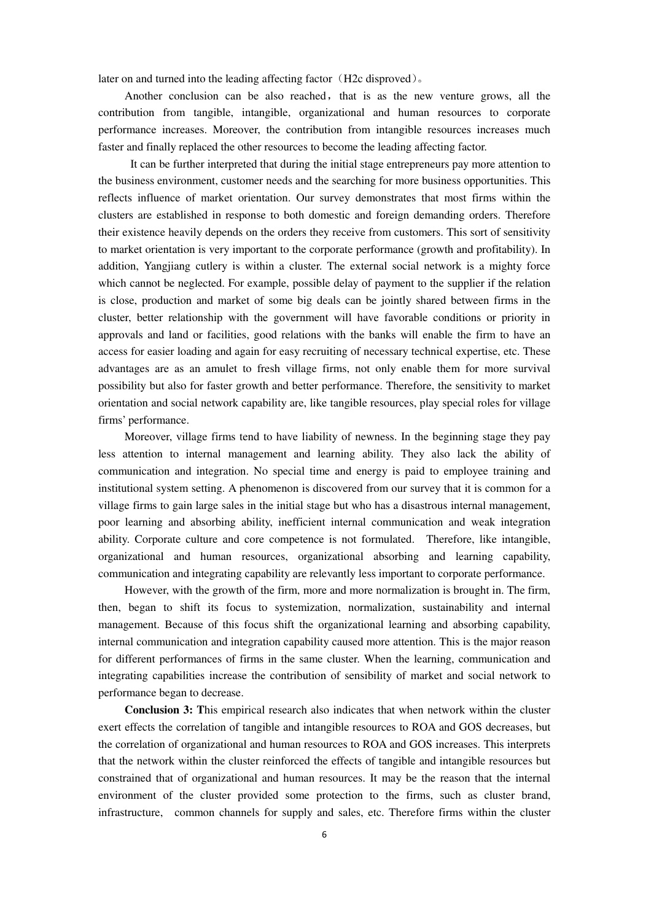later on and turned into the leading affecting factor (H2c disproved).

Another conclusion can be also reached, that is as the new venture grows, all the contribution from tangible, intangible, organizational and human resources to corporate performance increases. Moreover, the contribution from intangible resources increases much faster and finally replaced the other resources to become the leading affecting factor.

 It can be further interpreted that during the initial stage entrepreneurs pay more attention to the business environment, customer needs and the searching for more business opportunities. This reflects influence of market orientation. Our survey demonstrates that most firms within the clusters are established in response to both domestic and foreign demanding orders. Therefore their existence heavily depends on the orders they receive from customers. This sort of sensitivity to market orientation is very important to the corporate performance (growth and profitability). In addition, Yangjiang cutlery is within a cluster. The external social network is a mighty force which cannot be neglected. For example, possible delay of payment to the supplier if the relation is close, production and market of some big deals can be jointly shared between firms in the cluster, better relationship with the government will have favorable conditions or priority in approvals and land or facilities, good relations with the banks will enable the firm to have an access for easier loading and again for easy recruiting of necessary technical expertise, etc. These advantages are as an amulet to fresh village firms, not only enable them for more survival possibility but also for faster growth and better performance. Therefore, the sensitivity to market orientation and social network capability are, like tangible resources, play special roles for village firms' performance.

Moreover, village firms tend to have liability of newness. In the beginning stage they pay less attention to internal management and learning ability. They also lack the ability of communication and integration. No special time and energy is paid to employee training and institutional system setting. A phenomenon is discovered from our survey that it is common for a village firms to gain large sales in the initial stage but who has a disastrous internal management, poor learning and absorbing ability, inefficient internal communication and weak integration ability. Corporate culture and core competence is not formulated. Therefore, like intangible, organizational and human resources, organizational absorbing and learning capability, communication and integrating capability are relevantly less important to corporate performance.

However, with the growth of the firm, more and more normalization is brought in. The firm, then, began to shift its focus to systemization, normalization, sustainability and internal management. Because of this focus shift the organizational learning and absorbing capability, internal communication and integration capability caused more attention. This is the major reason for different performances of firms in the same cluster. When the learning, communication and integrating capabilities increase the contribution of sensibility of market and social network to performance began to decrease.

**Conclusion 3: T**his empirical research also indicates that when network within the cluster exert effects the correlation of tangible and intangible resources to ROA and GOS decreases, but the correlation of organizational and human resources to ROA and GOS increases. This interprets that the network within the cluster reinforced the effects of tangible and intangible resources but constrained that of organizational and human resources. It may be the reason that the internal environment of the cluster provided some protection to the firms, such as cluster brand, infrastructure, common channels for supply and sales, etc. Therefore firms within the cluster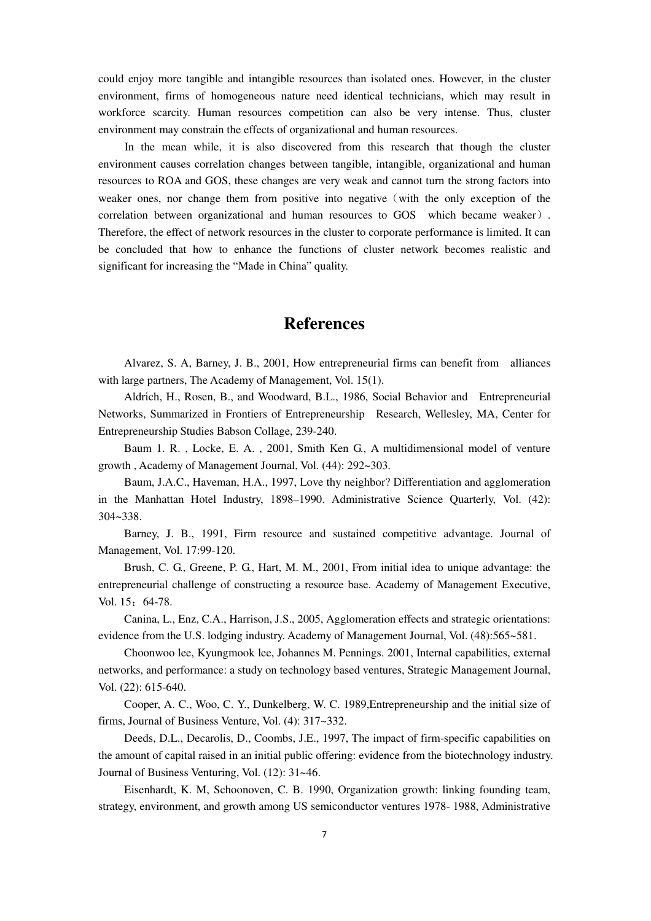could enjoy more tangible and intangible resources than isolated ones. However, in the cluster environment, firms of homogeneous nature need identical technicians, which may result in workforce scarcity. Human resources competition can also be very intense. Thus, cluster environment may constrain the effects of organizational and human resources.

In the mean while, it is also discovered from this research that though the cluster environment causes correlation changes between tangible, intangible, organizational and human resources to ROA and GOS, these changes are very weak and cannot turn the strong factors into weaker ones, nor change them from positive into negative (with the only exception of the correlation between organizational and human resources to GOS which became weaker). Therefore, the effect of network resources in the cluster to corporate performance is limited. It can be concluded that how to enhance the functions of cluster network becomes realistic and significant for increasing the "Made in China" quality.

# **References**

Alvarez, S. A, Barney, J. B., 2001, How entrepreneurial firms can benefit from alliances with large partners, The Academy of Management, Vol. 15(1).

Aldrich, H., Rosen, B., and Woodward, B.L., 1986, Social Behavior and Entrepreneurial Networks, Summarized in Frontiers of Entrepreneurship Research, Wellesley, MA, Center for Entrepreneurship Studies Babson Collage, 239-240.

Baum 1. R. , Locke, E. A. , 2001, Smith Ken G., A multidimensional model of venture growth , Academy of Management Journal, Vol. (44): 292~303.

Baum, J.A.C., Haveman, H.A., 1997, Love thy neighbor? Differentiation and agglomeration in the Manhattan Hotel Industry, 1898–1990. Administrative Science Quarterly, Vol. (42): 304~338.

Barney, J. B., 1991, Firm resource and sustained competitive advantage. Journal of Management, Vol. 17:99-120.

Brush, C. G., Greene, P. G., Hart, M. M., 2001, From initial idea to unique advantage: the entrepreneurial challenge of constructing a resource base. Academy of Management Executive, Vol. 15: 64-78.

Canina, L., Enz, C.A., Harrison, J.S., 2005, Agglomeration effects and strategic orientations: evidence from the U.S. lodging industry. Academy of Management Journal, Vol. (48):565~581.

Choonwoo lee, Kyungmook lee, Johannes M. Pennings. 2001, Internal capabilities, external networks, and performance: a study on technology based ventures, Strategic Management Journal, Vol. (22): 615-640.

Cooper, A. C., Woo, C. Y., Dunkelberg, W. C. 1989,Entrepreneurship and the initial size of firms, Journal of Business Venture, Vol. (4): 317~332.

Deeds, D.L., Decarolis, D., Coombs, J.E., 1997, The impact of firm-specific capabilities on the amount of capital raised in an initial public offering: evidence from the biotechnology industry. Journal of Business Venturing, Vol. (12): 31~46.

Eisenhardt, K. M, Schoonoven, C. B. 1990, Organization growth: linking founding team, strategy, environment, and growth among US semiconductor ventures 1978- 1988, Administrative